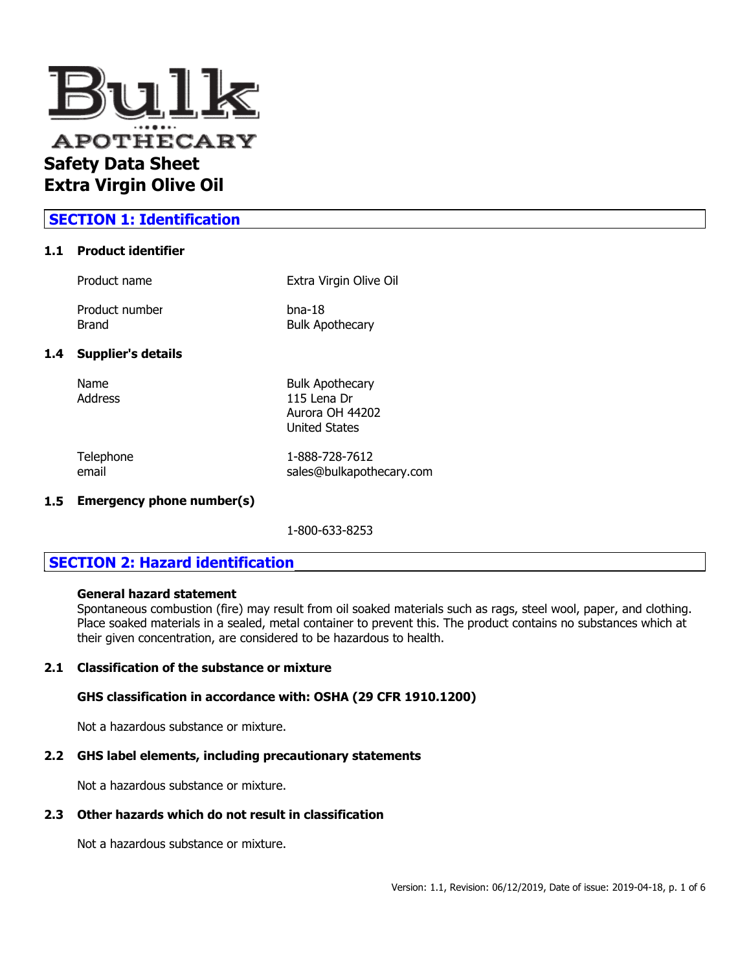

# **SECTION 1: Identification**

### **1.1 Product identifier**

| Product name              | Extra Virgin Olive Oil                                                    |
|---------------------------|---------------------------------------------------------------------------|
| Product number<br>Brand   | $b$ na-18<br><b>Bulk Apothecary</b>                                       |
| <b>Supplier's details</b> |                                                                           |
| Name<br>Address           | <b>Bulk Apothecary</b><br>115 Lena Dr<br>Aurora OH 44202<br>United States |

 $1.4$ 

Telephone 1-888-728-7612 email sales@bulkapothecary.com

#### **1.5 Emergency phone number(s)**

1-800-633-8253

# **SECTION 2: Hazard identification**

### **General hazard statement**

Spontaneous combustion (fire) may result from oil soaked materials such as rags, steel wool, paper, and clothing. Place soaked materials in a sealed, metal container to prevent this. The product contains no substances which at their given concentration, are considered to be hazardous to health.

### **2.1 Classification of the substance or mixture**

### **GHS classification in accordance with: OSHA (29 CFR 1910.1200)**

Not a hazardous substance or mixture.

#### **2.2 GHS label elements, including precautionary statements**

Not a hazardous substance or mixture.

### **2.3 Other hazards which do not result in classification**

Not a hazardous substance or mixture.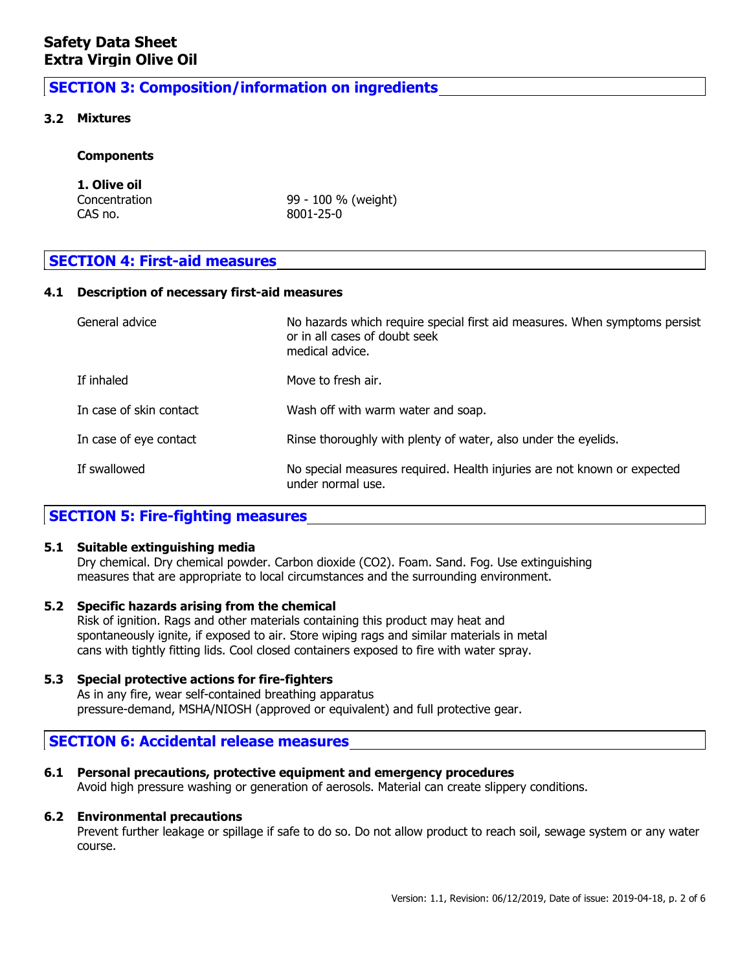# **SECTION 3: Composition/information on ingredients**

### **3.2 Mixtures**

### **Components**

# **1. Olive oil**

CAS no. 8001-25-0

Concentration 99 - 100 % (weight)

# **SECTION 4: First-aid measures**

### **4.1 Description of necessary first-aid measures**

| General advice          | No hazards which require special first aid measures. When symptoms persist<br>or in all cases of doubt seek<br>medical advice. |
|-------------------------|--------------------------------------------------------------------------------------------------------------------------------|
| If inhaled              | Move to fresh air.                                                                                                             |
| In case of skin contact | Wash off with warm water and soap.                                                                                             |
| In case of eye contact  | Rinse thoroughly with plenty of water, also under the eyelids.                                                                 |
| If swallowed            | No special measures required. Health injuries are not known or expected<br>under normal use.                                   |

# **SECTION 5: Fire-fighting measures**

#### **5.1 Suitable extinguishing media**

Dry chemical. Dry chemical powder. Carbon dioxide (CO2). Foam. Sand. Fog. Use extinguishing measures that are appropriate to local circumstances and the surrounding environment.

# **5.2 Specific hazards arising from the chemical**

Risk of ignition. Rags and other materials containing this product may heat and spontaneously ignite, if exposed to air. Store wiping rags and similar materials in metal cans with tightly fitting lids. Cool closed containers exposed to fire with water spray.

**5.3 Special protective actions for fire-fighters** As in any fire, wear self-contained breathing apparatus pressure-demand, MSHA/NIOSH (approved or equivalent) and full protective gear.

# **SECTION 6: Accidental release measures**

# **6.1 Personal precautions, protective equipment and emergency procedures**

Avoid high pressure washing or generation of aerosols. Material can create slippery conditions.

# **6.2 Environmental precautions**

Prevent further leakage or spillage if safe to do so. Do not allow product to reach soil, sewage system or any water course.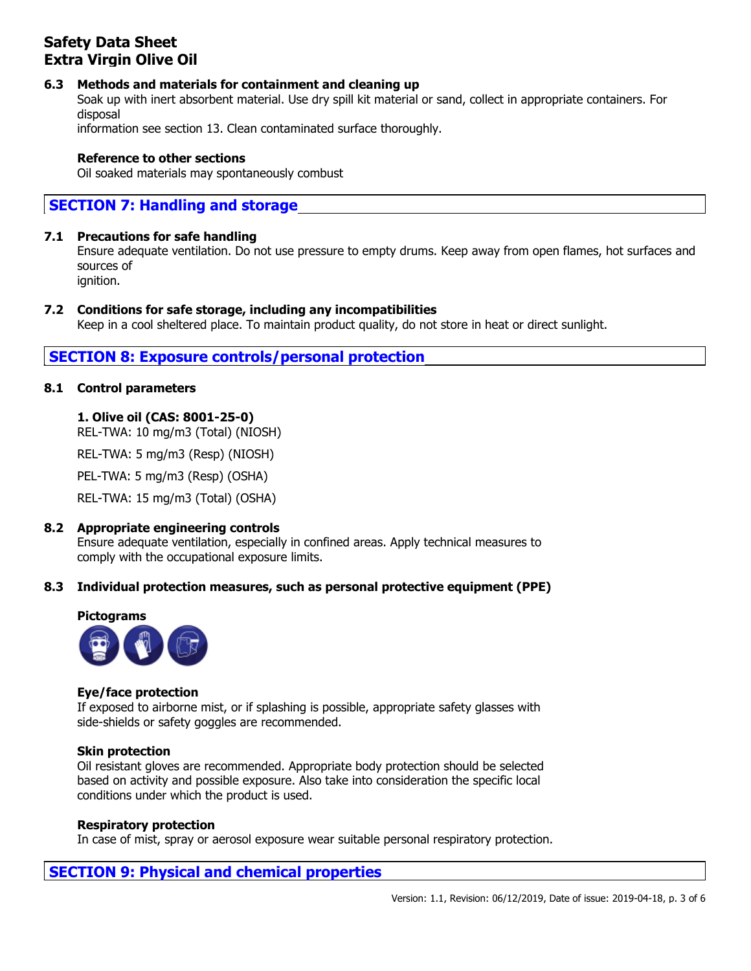# **6.3 Methods and materials for containment and cleaning up**

Soak up with inert absorbent material. Use dry spill kit material or sand, collect in appropriate containers. For disposal

information see section 13. Clean contaminated surface thoroughly.

# **Reference to other sections**

Oil soaked materials may spontaneously combust

# **SECTION 7: Handling and storage**

### **7.1 Precautions for safe handling**

Ensure adequate ventilation. Do not use pressure to empty drums. Keep away from open flames, hot surfaces and sources of ignition.

### **7.2 Conditions for safe storage, including any incompatibilities**

Keep in a cool sheltered place. To maintain product quality, do not store in heat or direct sunlight.

# **SECTION 8: Exposure controls/personal protection**

### **8.1 Control parameters**

# **1. Olive oil (CAS: 8001-25-0)**

REL-TWA: 10 mg/m3 (Total) (NIOSH)

REL-TWA: 5 mg/m3 (Resp) (NIOSH)

PEL-TWA: 5 mg/m3 (Resp) (OSHA)

REL-TWA: 15 mg/m3 (Total) (OSHA)

#### **8.2 Appropriate engineering controls**

Ensure adequate ventilation, especially in confined areas. Apply technical measures to comply with the occupational exposure limits.

# **8.3 Individual protection measures, such as personal protective equipment (PPE)**



#### **Eye/face protection**

If exposed to airborne mist, or if splashing is possible, appropriate safety glasses with side-shields or safety goggles are recommended.

#### **Skin protection**

Oil resistant gloves are recommended. Appropriate body protection should be selected based on activity and possible exposure. Also take into consideration the specific local conditions under which the product is used.

#### **Respiratory protection**

In case of mist, spray or aerosol exposure wear suitable personal respiratory protection.

# **SECTION 9: Physical and chemical properties**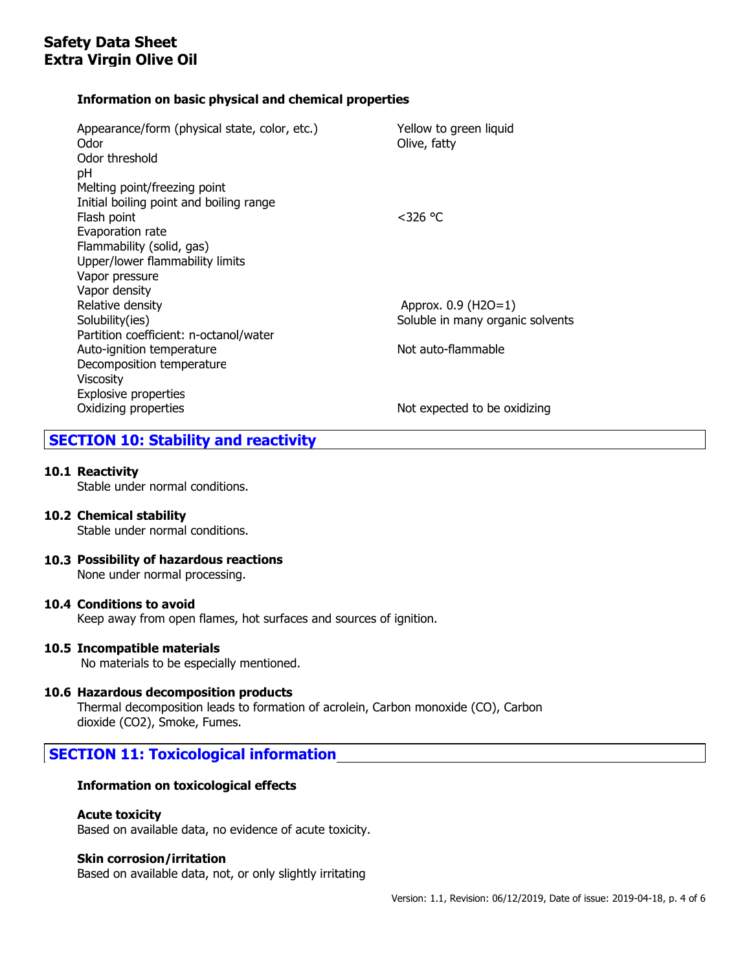# **Information on basic physical and chemical properties**

| Appearance/form (physical state, color, etc.)<br>Odor<br>Odor threshold | Yellow to green liquid<br>Olive, fatty |
|-------------------------------------------------------------------------|----------------------------------------|
| рH                                                                      |                                        |
| Melting point/freezing point                                            |                                        |
| Initial boiling point and boiling range                                 |                                        |
| Flash point                                                             | $<$ 326 °C                             |
| Evaporation rate                                                        |                                        |
| Flammability (solid, gas)                                               |                                        |
| Upper/lower flammability limits                                         |                                        |
| Vapor pressure                                                          |                                        |
| Vapor density                                                           |                                        |
| Relative density                                                        | Approx. 0.9 (H2O=1)                    |
| Solubility(ies)                                                         | Soluble in many organic solvents       |
| Partition coefficient: n-octanol/water                                  |                                        |
| Auto-ignition temperature                                               | Not auto-flammable                     |
| Decomposition temperature                                               |                                        |
| <b>Viscosity</b>                                                        |                                        |
| <b>Explosive properties</b>                                             |                                        |
| Oxidizing properties                                                    | Not expected to be oxidizing           |
|                                                                         |                                        |

# **SECTION 10: Stability and reactivity**

# **10.1 Reactivity**

Stable under normal conditions.

# **10.2 Chemical stability**

Stable under normal conditions.

**10.3 Possibility of hazardous reactions** None under normal processing.

# **10.4 Conditions to avoid**

Keep away from open flames, hot surfaces and sources of ignition.

# **10.5 Incompatible materials**

No materials to be especially mentioned.

# **10.6 Hazardous decomposition products**

Thermal decomposition leads to formation of acrolein, Carbon monoxide (CO), Carbon dioxide (CO2), Smoke, Fumes.

# **SECTION 11: Toxicological information**

# **Information on toxicological effects**

# **Acute toxicity**

Based on available data, no evidence of acute toxicity.

# **Skin corrosion/irritation**

Based on available data, not, or only slightly irritating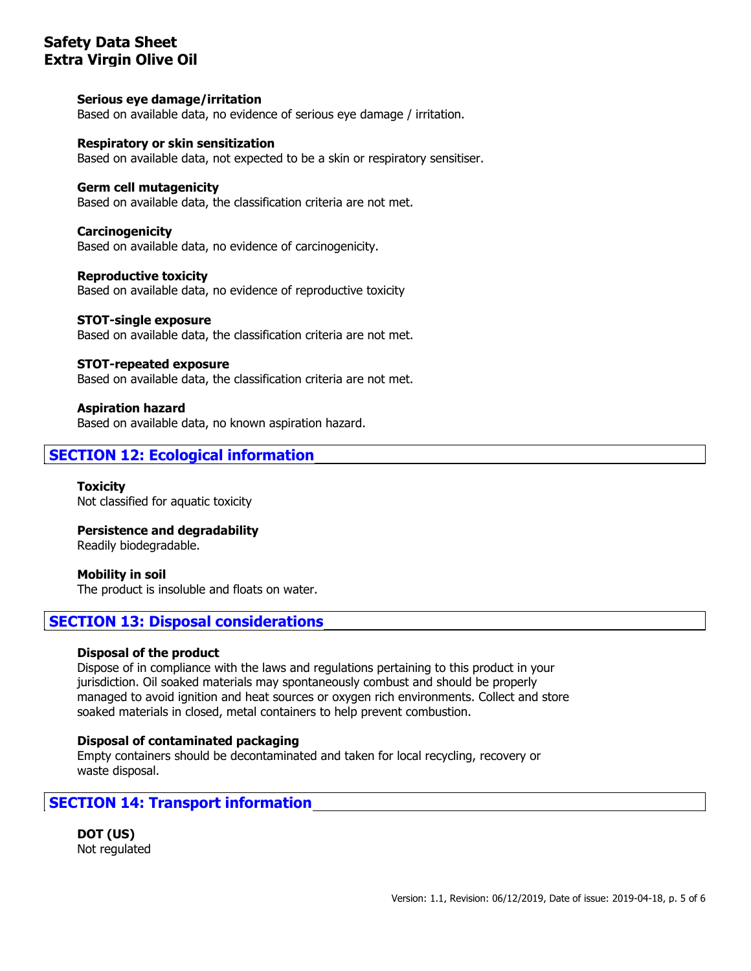### **Serious eye damage/irritation**

Based on available data, no evidence of serious eye damage / irritation.

### **Respiratory or skin sensitization**

Based on available data, not expected to be a skin or respiratory sensitiser.

### **Germ cell mutagenicity**

Based on available data, the classification criteria are not met.

### **Carcinogenicity**

Based on available data, no evidence of carcinogenicity.

#### **Reproductive toxicity**

Based on available data, no evidence of reproductive toxicity

#### **STOT-single exposure**

Based on available data, the classification criteria are not met.

#### **STOT-repeated exposure**

Based on available data, the classification criteria are not met.

### **Aspiration hazard**

Based on available data, no known aspiration hazard.

# **SECTION 12: Ecological information**

**Toxicity** Not classified for aquatic toxicity

# **Persistence and degradability**

Readily biodegradable.

#### **Mobility in soil** The product is insoluble and floats on water.

# **SECTION 13: Disposal considerations**

#### **Disposal of the product**

Dispose of in compliance with the laws and regulations pertaining to this product in your jurisdiction. Oil soaked materials may spontaneously combust and should be properly managed to avoid ignition and heat sources or oxygen rich environments. Collect and store soaked materials in closed, metal containers to help prevent combustion.

#### **Disposal of contaminated packaging**

Empty containers should be decontaminated and taken for local recycling, recovery or waste disposal.

# **SECTION 14: Transport information**

**DOT (US)** Not regulated